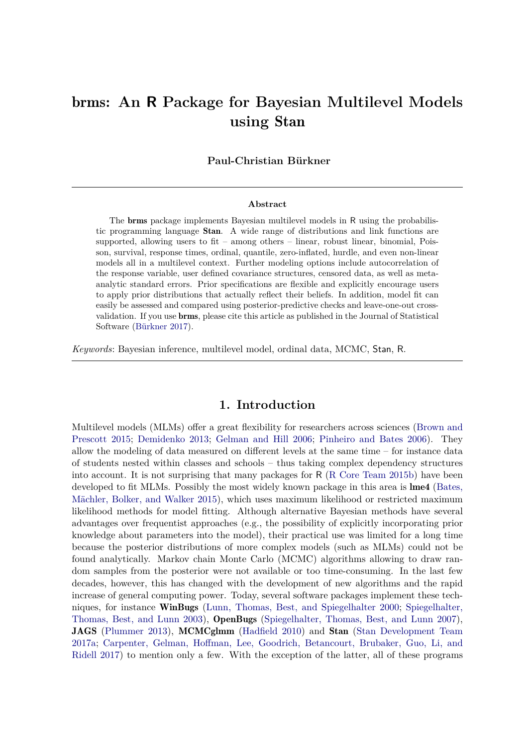# brms**: An R Package for Bayesian Multilevel Models using** Stan

**Paul-Christian Bürkner**

#### **Abstract**

The brms package implements Bayesian multilevel models in R using the probabilistic programming language Stan. A wide range of distributions and link functions are supported, allowing users to fit – among others – linear, robust linear, binomial, Poisson, survival, response times, ordinal, quantile, zero-inflated, hurdle, and even non-linear models all in a multilevel context. Further modeling options include autocorrelation of the response variable, user defined covariance structures, censored data, as well as metaanalytic standard errors. Prior specifications are flexible and explicitly encourage users to apply prior distributions that actually reflect their beliefs. In addition, model fit can easily be assessed and compared using posterior-predictive checks and leave-one-out crossvalidation. If you use brms, please cite this article as published in the Journal of Statistical Software [\(Bürkner 2017\)](#page-19-0).

*Keywords*: Bayesian inference, multilevel model, ordinal data, MCMC, Stan, R.

# **1. Introduction**

Multilevel models (MLMs) offer a great flexibility for researchers across sciences [\(Brown and](#page-19-1) [Prescott 2015;](#page-19-1) [Demidenko 2013;](#page-20-0) [Gelman and Hill 2006;](#page-20-1) [Pinheiro and Bates 2006\)](#page-22-0). They allow the modeling of data measured on different levels at the same time – for instance data of students nested within classes and schools – thus taking complex dependency structures into account. It is not surprising that many packages for R [\(R Core Team 2015b\)](#page-22-1) have been developed to fit MLMs. Possibly the most widely known package in this area is lme4 [\(Bates,](#page-19-2) [Mächler, Bolker, and Walker 2015\)](#page-19-2), which uses maximum likelihood or restricted maximum likelihood methods for model fitting. Although alternative Bayesian methods have several advantages over frequentist approaches (e.g., the possibility of explicitly incorporating prior knowledge about parameters into the model), their practical use was limited for a long time because the posterior distributions of more complex models (such as MLMs) could not be found analytically. Markov chain Monte Carlo (MCMC) algorithms allowing to draw random samples from the posterior were not available or too time-consuming. In the last few decades, however, this has changed with the development of new algorithms and the rapid increase of general computing power. Today, several software packages implement these tech-niques, for instance WinBugs [\(Lunn, Thomas, Best, and Spiegelhalter 2000;](#page-21-0) [Spiegelhalter,](#page-22-2) [Thomas, Best, and Lunn 2003\)](#page-22-2), OpenBugs [\(Spiegelhalter, Thomas, Best, and Lunn 2007\)](#page-22-3), **JAGS** [\(Plummer 2013\)](#page-22-4), MCMCglmm [\(Hadfield 2010\)](#page-21-1) and Stan [\(Stan Development Team](#page-22-5) [2017a;](#page-22-5) [Carpenter, Gelman, Hoffman, Lee, Goodrich, Betancourt, Brubaker, Guo, Li, and](#page-19-3) [Ridell 2017\)](#page-19-3) to mention only a few. With the exception of the latter, all of these programs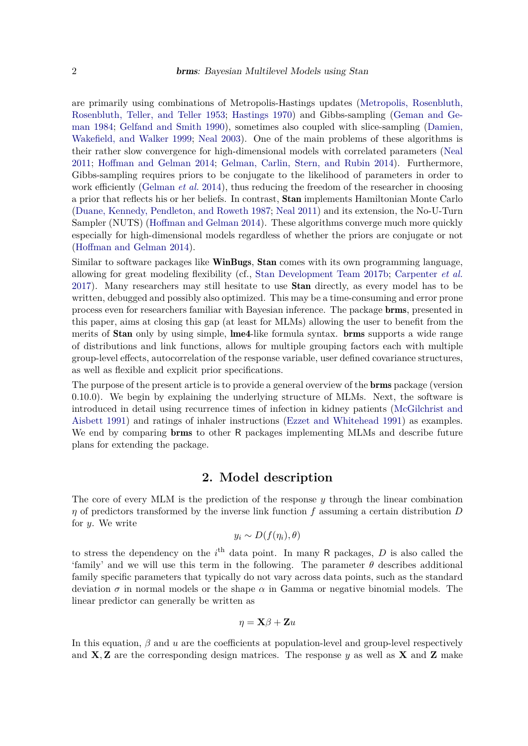are primarily using combinations of Metropolis-Hastings updates [\(Metropolis, Rosenbluth,](#page-21-2) [Rosenbluth, Teller, and Teller 1953;](#page-21-2) [Hastings 1970\)](#page-21-3) and Gibbs-sampling [\(Geman and Ge](#page-21-4)[man 1984;](#page-21-4) [Gelfand and Smith 1990\)](#page-20-2), sometimes also coupled with slice-sampling [\(Damien,](#page-20-3) [Wakefield, and Walker 1999;](#page-20-3) [Neal 2003\)](#page-22-6). One of the main problems of these algorithms is their rather slow convergence for high-dimensional models with correlated parameters [\(Neal](#page-22-7) [2011;](#page-22-7) [Hoffman and Gelman 2014;](#page-21-5) [Gelman, Carlin, Stern, and Rubin 2014\)](#page-20-4). Furthermore, Gibbs-sampling requires priors to be conjugate to the likelihood of parameters in order to work efficiently [\(Gelman](#page-20-4) *et al.* [2014\)](#page-20-4), thus reducing the freedom of the researcher in choosing a prior that reflects his or her beliefs. In contrast, Stan implements Hamiltonian Monte Carlo [\(Duane, Kennedy, Pendleton, and Roweth 1987;](#page-20-5) [Neal 2011\)](#page-22-7) and its extension, the No-U-Turn Sampler (NUTS) [\(Hoffman and Gelman 2014\)](#page-21-5). These algorithms converge much more quickly especially for high-dimensional models regardless of whether the priors are conjugate or not [\(Hoffman and Gelman 2014\)](#page-21-5).

Similar to software packages like **WinBugs, Stan** comes with its own programming language, allowing for great modeling flexibility (cf., [Stan Development Team 2017b;](#page-22-8) [Carpenter](#page-19-3) *et al.* [2017\)](#page-19-3). Many researchers may still hesitate to use Stan directly, as every model has to be written, debugged and possibly also optimized. This may be a time-consuming and error prone process even for researchers familiar with Bayesian inference. The package brms, presented in this paper, aims at closing this gap (at least for MLMs) allowing the user to benefit from the merits of **Stan** only by using simple, lme4-like formula syntax. **brms** supports a wide range of distributions and link functions, allows for multiple grouping factors each with multiple group-level effects, autocorrelation of the response variable, user defined covariance structures, as well as flexible and explicit prior specifications.

The purpose of the present article is to provide a general overview of the brms package (version 0.10.0). We begin by explaining the underlying structure of MLMs. Next, the software is introduced in detail using recurrence times of infection in kidney patients [\(McGilchrist and](#page-21-6) [Aisbett 1991\)](#page-21-6) and ratings of inhaler instructions [\(Ezzet and Whitehead 1991\)](#page-20-6) as examples. We end by comparing **brms** to other R packages implementing MLMs and describe future plans for extending the package.

## **2. Model description**

<span id="page-1-0"></span>The core of every MLM is the prediction of the response *y* through the linear combination *η* of predictors transformed by the inverse link function *f* assuming a certain distribution *D* for *y*. We write

$$
y_i \sim D(f(\eta_i), \theta)
$$

to stress the dependency on the  $i<sup>th</sup>$  data point. In many R packages,  $D$  is also called the 'family' and we will use this term in the following. The parameter  $\theta$  describes additional family specific parameters that typically do not vary across data points, such as the standard deviation  $\sigma$  in normal models or the shape  $\alpha$  in Gamma or negative binomial models. The linear predictor can generally be written as

$$
\eta = \mathbf{X}\beta + \mathbf{Z}u
$$

In this equation,  $\beta$  and  $u$  are the coefficients at population-level and group-level respectively and  $X, Z$  are the corresponding design matrices. The response *y* as well as  $X$  and  $Z$  make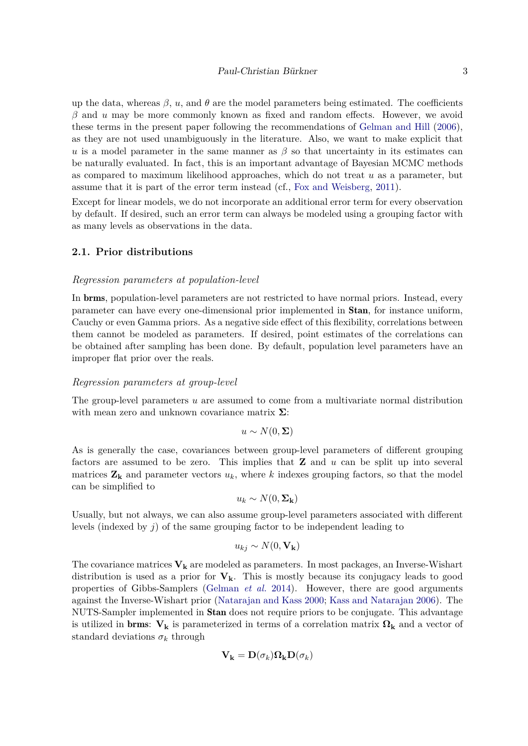up the data, whereas  $\beta$ , *u*, and  $\theta$  are the model parameters being estimated. The coefficients *β* and *u* may be more commonly known as fixed and random effects. However, we avoid these terms in the present paper following the recommendations of [Gelman and Hill](#page-20-1) [\(2006\)](#page-20-1), as they are not used unambiguously in the literature. Also, we want to make explicit that *u* is a model parameter in the same manner as  $\beta$  so that uncertainty in its estimates can be naturally evaluated. In fact, this is an important advantage of Bayesian MCMC methods as compared to maximum likelihood approaches, which do not treat *u* as a parameter, but assume that it is part of the error term instead (cf., [Fox and Weisberg,](#page-20-7) [2011\)](#page-20-7).

Except for linear models, we do not incorporate an additional error term for every observation by default. If desired, such an error term can always be modeled using a grouping factor with as many levels as observations in the data.

#### **2.1. Prior distributions**

#### *Regression parameters at population-level*

In brms, population-level parameters are not restricted to have normal priors. Instead, every parameter can have every one-dimensional prior implemented in Stan, for instance uniform, Cauchy or even Gamma priors. As a negative side effect of this flexibility, correlations between them cannot be modeled as parameters. If desired, point estimates of the correlations can be obtained after sampling has been done. By default, population level parameters have an improper flat prior over the reals.

#### *Regression parameters at group-level*

The group-level parameters *u* are assumed to come from a multivariate normal distribution with mean zero and unknown covariance matrix **Σ**:

$$
u \sim N(0, \Sigma)
$$

As is generally the case, covariances between group-level parameters of different grouping factors are assumed to be zero. This implies that **Z** and *u* can be split up into several matrices  $\mathbf{Z}_k$  and parameter vectors  $u_k$ , where k indexes grouping factors, so that the model can be simplified to

$$
u_k \sim N(0, \Sigma_{\mathbf{k}})
$$

Usually, but not always, we can also assume group-level parameters associated with different levels (indexed by *j*) of the same grouping factor to be independent leading to

$$
u_{kj} \sim N(0, \mathbf{V_k})
$$

The covariance matrices  $V_k$  are modeled as parameters. In most packages, an Inverse-Wishart distribution is used as a prior for **Vk**. This is mostly because its conjugacy leads to good properties of Gibbs-Samplers [\(Gelman](#page-20-4) *et al.* [2014\)](#page-20-4). However, there are good arguments against the Inverse-Wishart prior [\(Natarajan and Kass 2000;](#page-22-9) [Kass and Natarajan 2006\)](#page-21-7). The NUTS-Sampler implemented in Stan does not require priors to be conjugate. This advantage is utilized in **brms**:  $V_k$  is parameterized in terms of a correlation matrix  $\Omega_k$  and a vector of standard deviations  $\sigma_k$  through

$$
\mathbf{V_k}=\mathbf{D}(\sigma_k)\mathbf{\Omega_k}\mathbf{D}(\sigma_k)
$$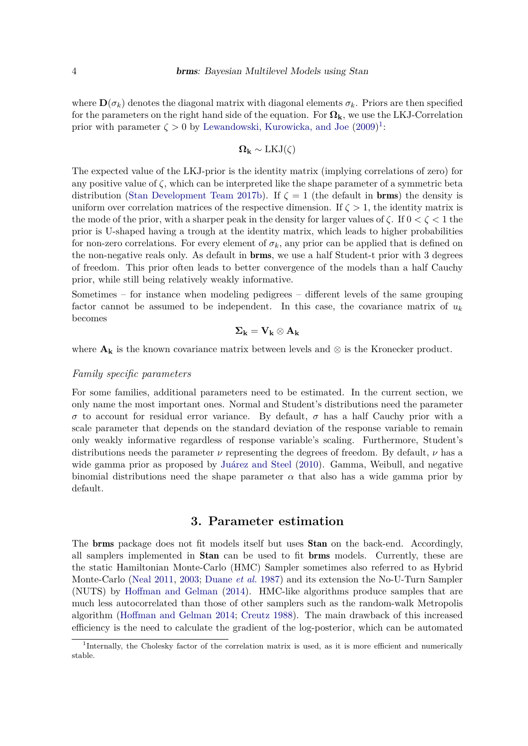where  $\mathbf{D}(\sigma_k)$  denotes the diagonal matrix with diagonal elements  $\sigma_k$ . Priors are then specified for the parameters on the right hand side of the equation. For **Ωk**, we use the LKJ-Correlation prior with parameter  $\zeta > 0$  by [Lewandowski, Kurowicka, and Joe](#page-21-8)  $(2009)^1$  $(2009)^1$  $(2009)^1$ :

$$
\Omega_{\bf k} \sim {\rm LKJ}(\zeta)
$$

The expected value of the LKJ-prior is the identity matrix (implying correlations of zero) for any positive value of  $\zeta$ , which can be interpreted like the shape parameter of a symmetric beta distribution [\(Stan Development Team 2017b\)](#page-22-8). If  $\zeta = 1$  (the default in **brms**) the density is uniform over correlation matrices of the respective dimension. If  $\zeta > 1$ , the identity matrix is the mode of the prior, with a sharper peak in the density for larger values of  $\zeta$ . If  $0 < \zeta < 1$  the prior is U-shaped having a trough at the identity matrix, which leads to higher probabilities for non-zero correlations. For every element of  $\sigma_k$ , any prior can be applied that is defined on the non-negative reals only. As default in brms, we use a half Student-t prior with 3 degrees of freedom. This prior often leads to better convergence of the models than a half Cauchy prior, while still being relatively weakly informative.

Sometimes – for instance when modeling pedigrees – different levels of the same grouping factor cannot be assumed to be independent. In this case, the covariance matrix of  $u_k$ becomes

$$
\Sigma_k = V_k \otimes A_k
$$

where  $\mathbf{A_k}$  is the known covariance matrix between levels and  $\otimes$  is the Kronecker product.

#### *Family specific parameters*

For some families, additional parameters need to be estimated. In the current section, we only name the most important ones. Normal and Student's distributions need the parameter *σ* to account for residual error variance. By default, *σ* has a half Cauchy prior with a scale parameter that depends on the standard deviation of the response variable to remain only weakly informative regardless of response variable's scaling. Furthermore, Student's distributions needs the parameter  $\nu$  representing the degrees of freedom. By default,  $\nu$  has a wide gamma prior as proposed by [Juárez and Steel](#page-21-9) [\(2010\)](#page-21-9). Gamma, Weibull, and negative binomial distributions need the shape parameter  $\alpha$  that also has a wide gamma prior by default.

# **3. Parameter estimation**

The brms package does not fit models itself but uses Stan on the back-end. Accordingly, all samplers implemented in Stan can be used to fit brms models. Currently, these are the static Hamiltonian Monte-Carlo (HMC) Sampler sometimes also referred to as Hybrid Monte-Carlo [\(Neal 2011,](#page-22-7) [2003;](#page-22-6) [Duane](#page-20-5) *et al.* [1987\)](#page-20-5) and its extension the No-U-Turn Sampler (NUTS) by [Hoffman and Gelman](#page-21-5) [\(2014\)](#page-21-5). HMC-like algorithms produce samples that are much less autocorrelated than those of other samplers such as the random-walk Metropolis algorithm [\(Hoffman and Gelman 2014;](#page-21-5) [Creutz 1988\)](#page-20-8). The main drawback of this increased efficiency is the need to calculate the gradient of the log-posterior, which can be automated

<span id="page-3-0"></span><sup>&</sup>lt;sup>1</sup>Internally, the Cholesky factor of the correlation matrix is used, as it is more efficient and numerically stable.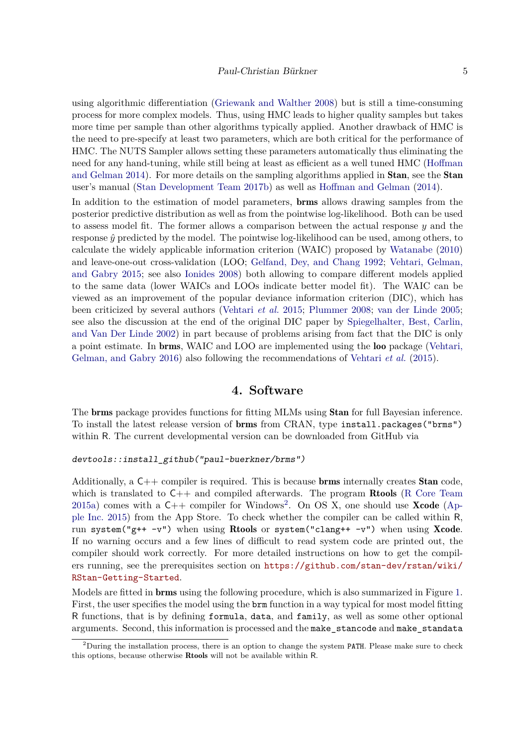using algorithmic differentiation [\(Griewank and Walther 2008\)](#page-21-10) but is still a time-consuming process for more complex models. Thus, using HMC leads to higher quality samples but takes more time per sample than other algorithms typically applied. Another drawback of HMC is the need to pre-specify at least two parameters, which are both critical for the performance of HMC. The NUTS Sampler allows setting these parameters automatically thus eliminating the need for any hand-tuning, while still being at least as efficient as a well tuned HMC [\(Hoffman](#page-21-5) [and Gelman 2014\)](#page-21-5). For more details on the sampling algorithms applied in **Stan**, see the **Stan** user's manual [\(Stan Development Team 2017b\)](#page-22-8) as well as [Hoffman and Gelman](#page-21-5) [\(2014\)](#page-21-5).

In addition to the estimation of model parameters, brms allows drawing samples from the posterior predictive distribution as well as from the pointwise log-likelihood. Both can be used to assess model fit. The former allows a comparison between the actual response *y* and the response  $\hat{y}$  predicted by the model. The pointwise log-likelihood can be used, among others, to calculate the widely applicable information criterion (WAIC) proposed by [Watanabe](#page-23-0) [\(2010\)](#page-23-0) and leave-one-out cross-validation (LOO; [Gelfand, Dey, and Chang 1992;](#page-20-9) [Vehtari, Gelman,](#page-23-1) [and Gabry 2015;](#page-23-1) see also [Ionides 2008\)](#page-21-11) both allowing to compare different models applied to the same data (lower WAICs and LOOs indicate better model fit). The WAIC can be viewed as an improvement of the popular deviance information criterion (DIC), which has been criticized by several authors [\(Vehtari](#page-23-1) *et al.* [2015;](#page-23-1) [Plummer 2008;](#page-22-10) [van der Linde 2005;](#page-23-2) see also the discussion at the end of the original DIC paper by [Spiegelhalter, Best, Carlin,](#page-22-11) [and Van Der Linde 2002\)](#page-22-11) in part because of problems arising from fact that the DIC is only a point estimate. In brms, WAIC and LOO are implemented using the loo package [\(Vehtari,](#page-23-3) [Gelman, and Gabry 2016\)](#page-23-3) also following the recommendations of [Vehtari](#page-23-1) *et al.* [\(2015\)](#page-23-1).

## **4. Software**

<span id="page-4-1"></span>The brms package provides functions for fitting MLMs using Stan for full Bayesian inference. To install the latest release version of brms from CRAN, type install.packages("brms") within R. The current developmental version can be downloaded from GitHub via

#### *devtools::install\_github("paul-buerkner/brms")*

Additionally, a  $C++$  compiler is required. This is because **brms** internally creates **Stan** code, which is translated to  $C_{++}$  and compiled afterwards. The program **Rtools** [\(R Core Team](#page-22-12) [2015a\)](#page-22-12) comes with a  $C++$  compiler for Windows<sup>[2](#page-4-0)</sup>. On OS X, one should use **Xcode** [\(Ap](#page-19-4)[ple Inc. 2015\)](#page-19-4) from the App Store. To check whether the compiler can be called within R, run system("g++ -v") when using Rtools or system("clang++ -v") when using Xcode. If no warning occurs and a few lines of difficult to read system code are printed out, the compiler should work correctly. For more detailed instructions on how to get the compilers running, see the prerequisites section on [https://github.com/stan-dev/rstan/wiki/](https://github.com/stan-dev/rstan/wiki/RStan-Getting-Started) [RStan-Getting-Started](https://github.com/stan-dev/rstan/wiki/RStan-Getting-Started).

Models are fitted in brms using the following procedure, which is also summarized in Figure [1.](#page-5-0) First, the user specifies the model using the brm function in a way typical for most model fitting R functions, that is by defining formula, data, and family, as well as some other optional arguments. Second, this information is processed and the make\_stancode and make\_standata

<span id="page-4-0"></span><sup>&</sup>lt;sup>2</sup>During the installation process, there is an option to change the system PATH. Please make sure to check this options, because otherwise Rtools will not be available within R.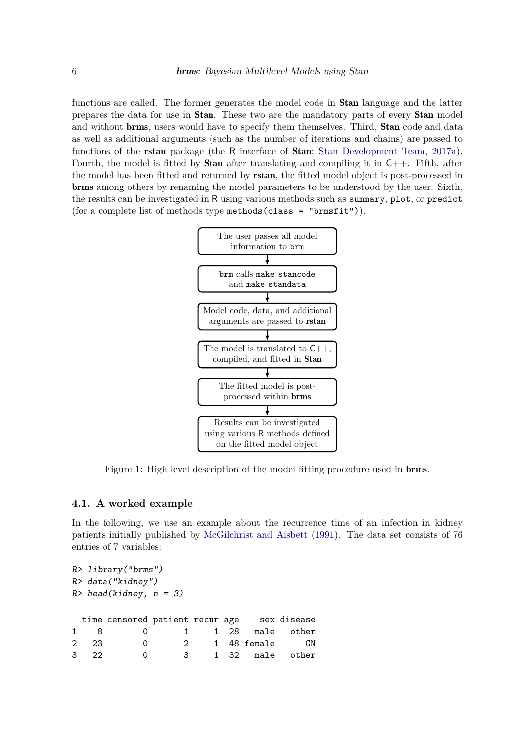functions are called. The former generates the model code in Stan language and the latter prepares the data for use in Stan. These two are the mandatory parts of every Stan model and without **brms**, users would have to specify them themselves. Third, **Stan** code and data as well as additional arguments (such as the number of iterations and chains) are passed to functions of the **rstan** package (the R interface of **Stan**; [Stan Development Team,](#page-22-5) [2017a\)](#page-22-5). Fourth, the model is fitted by **Stan** after translating and compiling it in  $C_{++}$ . Fifth, after the model has been fitted and returned by rstan, the fitted model object is post-processed in brms among others by renaming the model parameters to be understood by the user. Sixth, the results can be investigated in R using various methods such as summary, plot, or predict (for a complete list of methods type methods (class = "brmsfit")).



<span id="page-5-0"></span>Figure 1: High level description of the model fitting procedure used in brms.

## **4.1. A worked example**

In the following, we use an example about the recurrence time of an infection in kidney patients initially published by [McGilchrist and Aisbett](#page-21-6) [\(1991\)](#page-21-6). The data set consists of 76 entries of 7 variables:

```
R> library("brms")
R> data("kidney")
R> head(kidney, n = 3)
 time censored patient recur age sex disease
1 8 0 1 1 28 male other
2 23 0 2 1 48 female GN
3 22 0 3 1 32 male other
```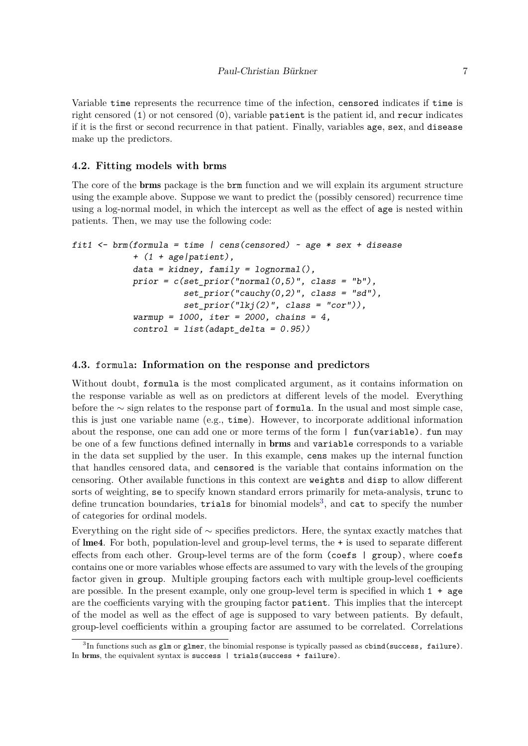Variable time represents the recurrence time of the infection, censored indicates if time is right censored (1) or not censored (0), variable patient is the patient id, and recur indicates if it is the first or second recurrence in that patient. Finally, variables age, sex, and disease make up the predictors.

## **4.2. Fitting models with** brms

The core of the brms package is the brm function and we will explain its argument structure using the example above. Suppose we want to predict the (possibly censored) recurrence time using a log-normal model, in which the intercept as well as the effect of age is nested within patients. Then, we may use the following code:

```
fit1 <- brm(formula = time | cens(censored) ~ age * sex + disease
            + (1 + age|patient),
            data = kidney, family = lognormal(),
            prior = c(set_prior("normal(0,5)", class = "b"),
                      set_prior("cauchy(0,2)", class = "sd"),
                      set_prior("lkj(2)", class = "cor")),
            warmup = 1000, iter = 2000, chains = 4,
            control = list(adapt_delta = 0.95))
```
#### **4.3.** formula**: Information on the response and predictors**

Without doubt, formula is the most complicated argument, as it contains information on the response variable as well as on predictors at different levels of the model. Everything before the ∼ sign relates to the response part of formula. In the usual and most simple case, this is just one variable name (e.g., time). However, to incorporate additional information about the response, one can add one or more terms of the form | fun(variable). fun may be one of a few functions defined internally in brms and variable corresponds to a variable in the data set supplied by the user. In this example, cens makes up the internal function that handles censored data, and censored is the variable that contains information on the censoring. Other available functions in this context are weights and disp to allow different sorts of weighting, se to specify known standard errors primarily for meta-analysis, trunc to define truncation boundaries, trials for binomial models<sup>[3](#page-6-0)</sup>, and cat to specify the number of categories for ordinal models.

Everything on the right side of ∼ specifies predictors. Here, the syntax exactly matches that of lme4. For both, population-level and group-level terms, the + is used to separate different effects from each other. Group-level terms are of the form (coefs  $|$  group), where coefs contains one or more variables whose effects are assumed to vary with the levels of the grouping factor given in group. Multiple grouping factors each with multiple group-level coefficients are possible. In the present example, only one group-level term is specified in which  $1 + \text{age}$ are the coefficients varying with the grouping factor patient. This implies that the intercept of the model as well as the effect of age is supposed to vary between patients. By default, group-level coefficients within a grouping factor are assumed to be correlated. Correlations

<span id="page-6-0"></span> ${}^{3}\text{In}$  functions such as glm or glmer, the binomial response is typically passed as cbind(success, failure). In brms, the equivalent syntax is success | trials(success + failure).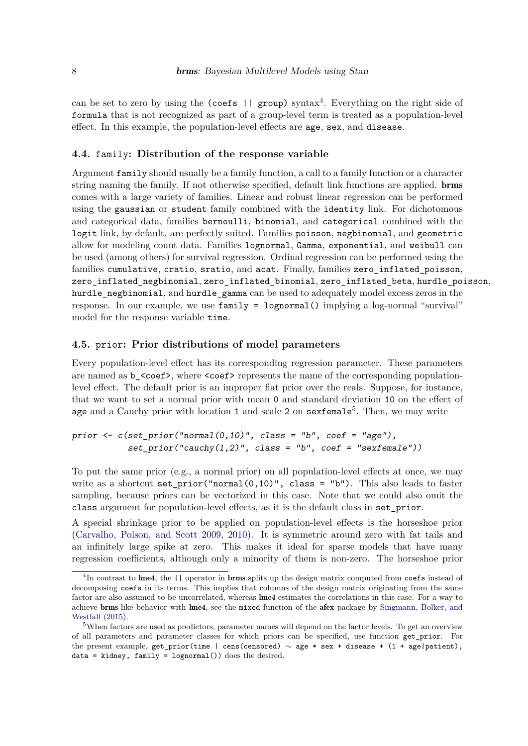can be set to zero by using the (coefs  $||$  group) syntax<sup>[4](#page-7-0)</sup>. Everything on the right side of formula that is not recognized as part of a group-level term is treated as a population-level effect. In this example, the population-level effects are age, sex, and disease.

#### **4.4.** family**: Distribution of the response variable**

Argument family should usually be a family function, a call to a family function or a character string naming the family. If not otherwise specified, default link functions are applied. brms comes with a large variety of families. Linear and robust linear regression can be performed using the gaussian or student family combined with the identity link. For dichotomous and categorical data, families bernoulli, binomial, and categorical combined with the logit link, by default, are perfectly suited. Families poisson, negbinomial, and geometric allow for modeling count data. Families lognormal, Gamma, exponential, and weibull can be used (among others) for survival regression. Ordinal regression can be performed using the families cumulative, cratio, sratio, and acat. Finally, families zero\_inflated\_poisson, zero\_inflated\_negbinomial, zero\_inflated\_binomial, zero\_inflated\_beta, hurdle\_poisson, hurdle\_negbinomial, and hurdle\_gamma can be used to adequately model excess zeros in the response. In our example, we use family = lognormal() implying a log-normal "survival" model for the response variable time.

# **4.5.** prior**: Prior distributions of model parameters**

Every population-level effect has its corresponding regression parameter. These parameters are named as b\_<coef>, where <coef> represents the name of the corresponding populationlevel effect. The default prior is an improper flat prior over the reals. Suppose, for instance, that we want to set a normal prior with mean 0 and standard deviation 10 on the effect of age and a Cauchy prior with location 1 and scale 2 on sexfemale<sup>[5](#page-7-1)</sup>. Then, we may write

## *prior*  $\leq$  *c*(set prior("normal(0,10)", class = "b", coef = "age"),  $set\ prior("cauchy(1,2)", \text{ class = "b", coef = "sexfemale"))$

To put the same prior (e.g., a normal prior) on all population-level effects at once, we may write as a shortcut set\_prior("normal $(0,10)$ ", class = "b"). This also leads to faster sampling, because priors can be vectorized in this case. Note that we could also omit the class argument for population-level effects, as it is the default class in set\_prior.

A special shrinkage prior to be applied on population-level effects is the horseshoe prior [\(Carvalho, Polson, and Scott 2009,](#page-20-10) [2010\)](#page-20-11). It is symmetric around zero with fat tails and an infinitely large spike at zero. This makes it ideal for sparse models that have many regression coefficients, although only a minority of them is non-zero. The horseshoe prior

<span id="page-7-0"></span> ${}^{4}$ In contrast to lme4, the  $| \cdot |$  operator in brms splits up the design matrix computed from coefs instead of decomposing coefs in its terms. This implies that columns of the design matrix originating from the same factor are also assumed to be uncorrelated, whereas lme4 estimates the correlations in this case. For a way to achieve brms-like behavior with lme4, see the mixed function of the afex package by [Singmann, Bolker, and](#page-22-13) [Westfall](#page-22-13) [\(2015\)](#page-22-13).

<span id="page-7-1"></span><sup>&</sup>lt;sup>5</sup>When factors are used as predictors, parameter names will depend on the factor levels. To get an overview of all parameters and parameter classes for which priors can be specified, use function get\_prior. For the present example, get\_prior(time | cens(censored) ∼ age \* sex + disease + (1 + age|patient),  $data = kidney, family = lognormal() does the desired.$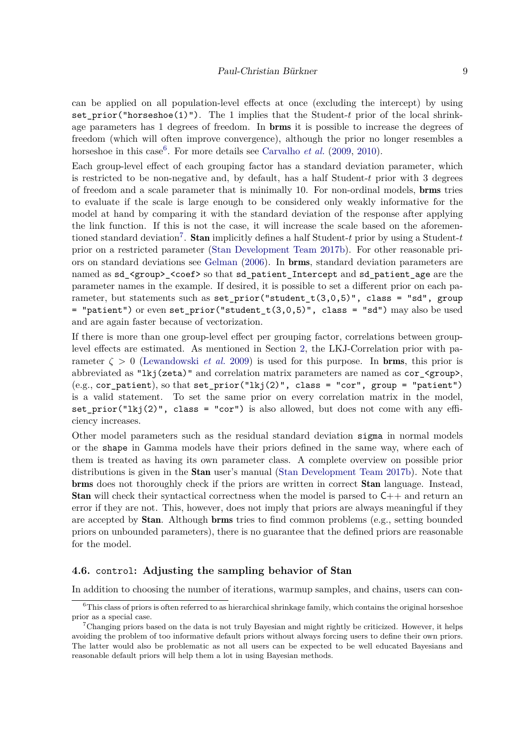can be applied on all population-level effects at once (excluding the intercept) by using set\_prior("horseshoe(1)"). The 1 implies that the Student-*t* prior of the local shrinkage parameters has 1 degrees of freedom. In brms it is possible to increase the degrees of freedom (which will often improve convergence), although the prior no longer resembles a horseshoe in this case<sup>[6](#page-8-0)</sup>. For more details see [Carvalho](#page-20-10) *et al.* [\(2009,](#page-20-10) [2010\)](#page-20-11).

Each group-level effect of each grouping factor has a standard deviation parameter, which is restricted to be non-negative and, by default, has a half Student-*t* prior with 3 degrees of freedom and a scale parameter that is minimally 10. For non-ordinal models, brms tries to evaluate if the scale is large enough to be considered only weakly informative for the model at hand by comparing it with the standard deviation of the response after applying the link function. If this is not the case, it will increase the scale based on the aforemen-tioned standard deviation<sup>[7](#page-8-1)</sup>. **Stan** implicitly defines a half Student-*t* prior by using a Student-*t* prior on a restricted parameter [\(Stan Development Team 2017b\)](#page-22-8). For other reasonable priors on standard deviations see [Gelman](#page-20-12) [\(2006\)](#page-20-12). In brms, standard deviation parameters are named as  $sd$ <sub></sub><group> < coef> so that  $sd$ <sub></sub> patient\_Intercept and  $sd$ <sub>patient\_age are the</sub> parameter names in the example. If desired, it is possible to set a different prior on each parameter, but statements such as set prior("student  $t(3,0,5)$ ", class = "sd", group = "patient") or even set prior("student  $t(3,0,5)$ ", class = "sd") may also be used and are again faster because of vectorization.

If there is more than one group-level effect per grouping factor, correlations between grouplevel effects are estimated. As mentioned in Section [2,](#page-1-0) the LKJ-Correlation prior with parameter  $\zeta > 0$  [\(Lewandowski](#page-21-8) *et al.* [2009\)](#page-21-8) is used for this purpose. In **brms**, this prior is abbreviated as "lkj(zeta)" and correlation matrix parameters are named as cor\_<group>,  $(e.g., cor$  patient), so that set\_prior("lkj(2)", class = "cor", group = "patient") is a valid statement. To set the same prior on every correlation matrix in the model, set\_prior("lkj(2)", class = "cor") is also allowed, but does not come with any efficiency increases.

Other model parameters such as the residual standard deviation sigma in normal models or the shape in Gamma models have their priors defined in the same way, where each of them is treated as having its own parameter class. A complete overview on possible prior distributions is given in the Stan user's manual [\(Stan Development Team 2017b\)](#page-22-8). Note that brms does not thoroughly check if the priors are written in correct Stan language. Instead, **Stan** will check their syntactical correctness when the model is parsed to  $C_{++}$  and return an error if they are not. This, however, does not imply that priors are always meaningful if they are accepted by Stan. Although brms tries to find common problems (e.g., setting bounded priors on unbounded parameters), there is no guarantee that the defined priors are reasonable for the model.

## **4.6.** control**: Adjusting the sampling behavior of** Stan

In addition to choosing the number of iterations, warmup samples, and chains, users can con-

<span id="page-8-0"></span> $6$ This class of priors is often referred to as hierarchical shrinkage family, which contains the original horseshoe prior as a special case.

<span id="page-8-1"></span><sup>7</sup>Changing priors based on the data is not truly Bayesian and might rightly be criticized. However, it helps avoiding the problem of too informative default priors without always forcing users to define their own priors. The latter would also be problematic as not all users can be expected to be well educated Bayesians and reasonable default priors will help them a lot in using Bayesian methods.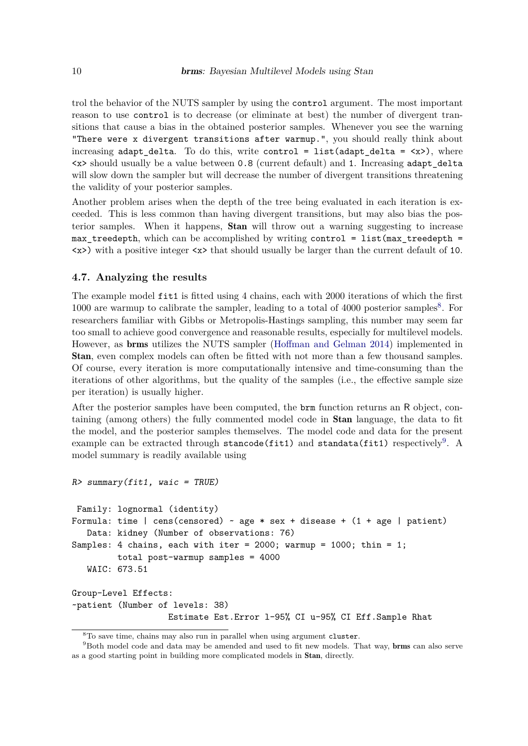trol the behavior of the NUTS sampler by using the control argument. The most important reason to use control is to decrease (or eliminate at best) the number of divergent transitions that cause a bias in the obtained posterior samples. Whenever you see the warning "There were x divergent transitions after warmup.", you should really think about increasing adapt delta. To do this, write control = list(adapt delta =  $\langle x \rangle$ ), where <x> should usually be a value between 0.8 (current default) and 1. Increasing adapt\_delta will slow down the sampler but will decrease the number of divergent transitions threatening the validity of your posterior samples.

Another problem arises when the depth of the tree being evaluated in each iteration is exceeded. This is less common than having divergent transitions, but may also bias the posterior samples. When it happens, Stan will throw out a warning suggesting to increase max treedepth, which can be accomplished by writing control = list(max treedepth = <x>) with a positive integer <x> that should usually be larger than the current default of 10.

#### **4.7. Analyzing the results**

*R> summary(fit1, waic = TRUE)*

The example model fit1 is fitted using 4 chains, each with 2000 iterations of which the first 1000 are warmup to calibrate the sampler, leading to a total of 4000 posterior samples<sup>[8](#page-9-0)</sup>. For researchers familiar with Gibbs or Metropolis-Hastings sampling, this number may seem far too small to achieve good convergence and reasonable results, especially for multilevel models. However, as brms utilizes the NUTS sampler [\(Hoffman and Gelman 2014\)](#page-21-5) implemented in Stan, even complex models can often be fitted with not more than a few thousand samples. Of course, every iteration is more computationally intensive and time-consuming than the iterations of other algorithms, but the quality of the samples (i.e., the effective sample size per iteration) is usually higher.

After the posterior samples have been computed, the brm function returns an R object, containing (among others) the fully commented model code in Stan language, the data to fit the model, and the posterior samples themselves. The model code and data for the present example can be extracted through stancode(fit1) and standata(fit1) respectively<sup>[9](#page-9-1)</sup>. A model summary is readily available using

```
Family: lognormal (identity)
Formula: time | cens(censored) \sim age * sex + disease + (1 + age | patient)
   Data: kidney (Number of observations: 76)
Samples: 4 chains, each with iter = 2000; warmup = 1000; thin = 1;
         total post-warmup samples = 4000
   WAIC: 673.51
Group-Level Effects:
~patient (Number of levels: 38)
                   Estimate Est.Error l-95% CI u-95% CI Eff.Sample Rhat
```
<span id="page-9-1"></span><span id="page-9-0"></span><sup>8</sup>To save time, chains may also run in parallel when using argument cluster.

<sup>&</sup>lt;sup>9</sup>Both model code and data may be amended and used to fit new models. That way, **brms** can also serve as a good starting point in building more complicated models in Stan, directly.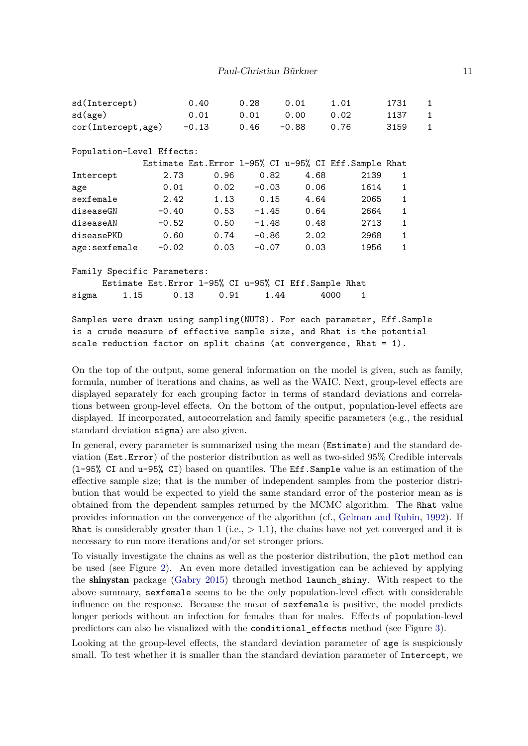| sd(Intercept)                                                             |         | 0.40                                                   | 0.28        | 0.01    | 1.01                                                   | 1731         | $\mathbf{1}$ |
|---------------------------------------------------------------------------|---------|--------------------------------------------------------|-------------|---------|--------------------------------------------------------|--------------|--------------|
| sd(age)                                                                   |         | 0.01                                                   | 0.01 0.00   |         | 0.02                                                   | 1137         | $\mathbf{1}$ |
| cor(Intercept,age)                                                        |         | $-0.13$                                                | 0.46        | $-0.88$ | 0.76                                                   | 3159         | $\mathbf{1}$ |
|                                                                           |         |                                                        |             |         |                                                        |              |              |
| Population-Level Effects:                                                 |         |                                                        |             |         |                                                        |              |              |
|                                                                           |         |                                                        |             |         | Estimate Est. Error 1-95% CI u-95% CI Eff. Sample Rhat |              |              |
| Intercept                                                                 | 2.73    | 0.96                                                   | 0.82        | 4.68    | 2139                                                   | 1            |              |
| age                                                                       | 0.01    | 0.02                                                   | $-0.03$     | 0.06    | 1614                                                   | $\mathbf{1}$ |              |
| sexfemale                                                                 | 2.42    |                                                        | $1.13$ 0.15 | 4.64    | 2065                                                   | 1            |              |
| diseaseGN                                                                 | $-0.40$ | 0.53                                                   | $-1.45$     | 0.64    | 2664                                                   | $\mathbf{1}$ |              |
| diseaseAN                                                                 |         | $-0.52$ 0.50                                           | $-1.48$     | 0.48    | 2713                                                   | $\mathbf{1}$ |              |
| diseasePKD                                                                | 0.60    | 0.74                                                   | -0.86       | 2.02    | 2968                                                   | $\mathbf{1}$ |              |
| age:sexfemale                                                             | $-0.02$ | 0.03                                                   | $-0.07$     | 0.03    | 1956                                                   | $\mathbf{1}$ |              |
|                                                                           |         |                                                        |             |         |                                                        |              |              |
| Family Specific Parameters:                                               |         |                                                        |             |         |                                                        |              |              |
|                                                                           |         | Estimate Est. Error 1-95% CI u-95% CI Eff. Sample Rhat |             |         |                                                        |              |              |
| sigma                                                                     | 1.15    | 0.91<br>0.13                                           | 1.44        |         | 4000<br>1                                              |              |              |
|                                                                           |         |                                                        |             |         |                                                        |              |              |
| Samples were drawn using sampling (NUTS). For each parameter, Eff. Sample |         |                                                        |             |         |                                                        |              |              |
| is a crude measure of effective sample size, and Rhat is the potential    |         |                                                        |             |         |                                                        |              |              |

On the top of the output, some general information on the model is given, such as family, formula, number of iterations and chains, as well as the WAIC. Next, group-level effects are displayed separately for each grouping factor in terms of standard deviations and correlations between group-level effects. On the bottom of the output, population-level effects are displayed. If incorporated, autocorrelation and family specific parameters (e.g., the residual

scale reduction factor on split chains (at convergence, Rhat = 1).

standard deviation sigma) are also given.

In general, every parameter is summarized using the mean (Estimate) and the standard deviation (Est.Error) of the posterior distribution as well as two-sided 95% Credible intervals (l-95% CI and u-95% CI) based on quantiles. The Eff.Sample value is an estimation of the effective sample size; that is the number of independent samples from the posterior distribution that would be expected to yield the same standard error of the posterior mean as is obtained from the dependent samples returned by the MCMC algorithm. The Rhat value provides information on the convergence of the algorithm (cf., [Gelman and Rubin,](#page-21-12) [1992\)](#page-21-12). If Rhat is considerably greater than 1 (i.e.,  $> 1.1$ ), the chains have not yet converged and it is necessary to run more iterations and/or set stronger priors.

To visually investigate the chains as well as the posterior distribution, the plot method can be used (see Figure [2\)](#page-24-0). An even more detailed investigation can be achieved by applying the shinystan package [\(Gabry 2015\)](#page-20-13) through method launch\_shiny. With respect to the above summary, sexfemale seems to be the only population-level effect with considerable influence on the response. Because the mean of sexfemale is positive, the model predicts longer periods without an infection for females than for males. Effects of population-level predictors can also be visualized with the conditional\_effects method (see Figure [3\)](#page-25-0).

Looking at the group-level effects, the standard deviation parameter of age is suspiciously small. To test whether it is smaller than the standard deviation parameter of Intercept, we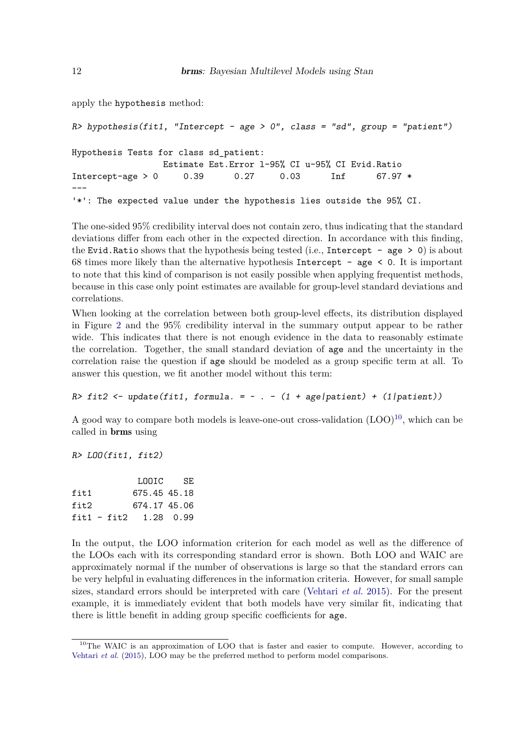apply the hypothesis method:

```
R> hypothesis(fit1, "Intercept - age > 0", class = "sd", group = "patient")
Hypothesis Tests for class sd_patient:
                Estimate Est.Error l-95% CI u-95% CI Evid.Ratio
Intercept-age > 0 0.39 0.27 0.03 Inf 67.97 *
---
'*': The expected value under the hypothesis lies outside the 95% CI.
```
The one-sided 95% credibility interval does not contain zero, thus indicating that the standard deviations differ from each other in the expected direction. In accordance with this finding, the Evid.Ratio shows that the hypothesis being tested (i.e., Intercept - age  $> 0$ ) is about 68 times more likely than the alternative hypothesis Intercept - age  $\leq 0$ . It is important to note that this kind of comparison is not easily possible when applying frequentist methods, because in this case only point estimates are available for group-level standard deviations and correlations.

When looking at the correlation between both group-level effects, its distribution displayed in Figure [2](#page-24-0) and the 95% credibility interval in the summary output appear to be rather wide. This indicates that there is not enough evidence in the data to reasonably estimate the correlation. Together, the small standard deviation of age and the uncertainty in the correlation raise the question if age should be modeled as a group specific term at all. To answer this question, we fit another model without this term:

```
R> fit2 <- update(fit1, formula. = \sim . - (1 + age|patient) + (1|patient))
```
A good way to compare both models is leave-one-out cross-validation  $(LOO)^{10}$  $(LOO)^{10}$  $(LOO)^{10}$ , which can be called in brms using

```
R> LOO(fit1, fit2)
```

|                         | LOOTC L      | SE. |
|-------------------------|--------------|-----|
| fit.1                   | 675.45 45.18 |     |
| fit2                    | 674.17 45.06 |     |
| $fit1 - fit2 1.28 0.99$ |              |     |

In the output, the LOO information criterion for each model as well as the difference of the LOOs each with its corresponding standard error is shown. Both LOO and WAIC are approximately normal if the number of observations is large so that the standard errors can be very helpful in evaluating differences in the information criteria. However, for small sample sizes, standard errors should be interpreted with care [\(Vehtari](#page-23-1) *et al.* [2015\)](#page-23-1). For the present example, it is immediately evident that both models have very similar fit, indicating that there is little benefit in adding group specific coefficients for age.

<span id="page-11-0"></span><sup>&</sup>lt;sup>10</sup>The WAIC is an approximation of LOO that is faster and easier to compute. However, according to [Vehtari](#page-23-1) *et al.* [\(2015\)](#page-23-1), LOO may be the preferred method to perform model comparisons.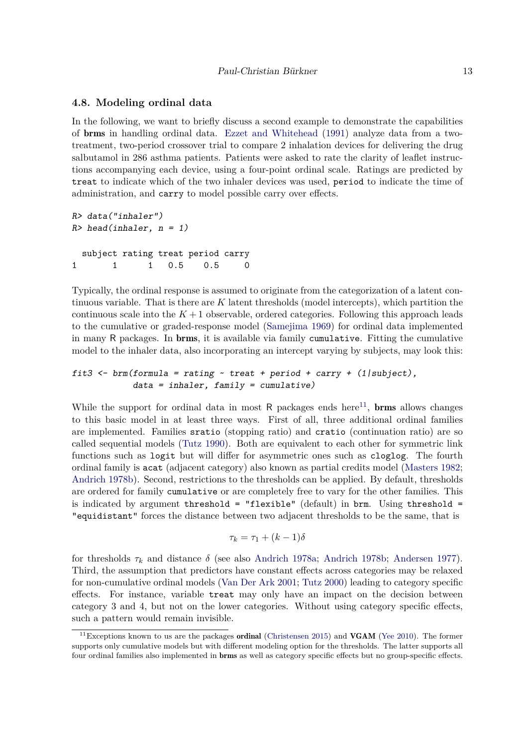#### **4.8. Modeling ordinal data**

In the following, we want to briefly discuss a second example to demonstrate the capabilities of brms in handling ordinal data. [Ezzet and Whitehead](#page-20-6) [\(1991\)](#page-20-6) analyze data from a twotreatment, two-period crossover trial to compare 2 inhalation devices for delivering the drug salbutamol in 286 asthma patients. Patients were asked to rate the clarity of leaflet instructions accompanying each device, using a four-point ordinal scale. Ratings are predicted by treat to indicate which of the two inhaler devices was used, period to indicate the time of administration, and carry to model possible carry over effects.

```
R> data("inhaler")
R> head(inhaler, n = 1)
 subject rating treat period carry
1 1 1 0.5 0.5 0
```
Typically, the ordinal response is assumed to originate from the categorization of a latent continuous variable. That is there are *K* latent thresholds (model intercepts), which partition the continuous scale into the  $K+1$  observable, ordered categories. Following this approach leads to the cumulative or graded-response model [\(Samejima 1969\)](#page-22-14) for ordinal data implemented in many R packages. In brms, it is available via family cumulative. Fitting the cumulative model to the inhaler data, also incorporating an intercept varying by subjects, may look this:

## *fit3 <- brm(formula = rating ~ treat + period + carry + (1|subject), data = inhaler, family = cumulative)*

While the support for ordinal data in most  $R$  packages ends here<sup>[11](#page-12-0)</sup>, **brms** allows changes to this basic model in at least three ways. First of all, three additional ordinal families are implemented. Families sratio (stopping ratio) and cratio (continuation ratio) are so called sequential models [\(Tutz 1990\)](#page-22-15). Both are equivalent to each other for symmetric link functions such as logit but will differ for asymmetric ones such as cloglog. The fourth ordinal family is acat (adjacent category) also known as partial credits model [\(Masters 1982;](#page-21-13) [Andrich 1978b\)](#page-19-5). Second, restrictions to the thresholds can be applied. By default, thresholds are ordered for family cumulative or are completely free to vary for the other families. This is indicated by argument threshold = "flexible" (default) in brm. Using threshold = "equidistant" forces the distance between two adjacent thresholds to be the same, that is

$$
\tau_k = \tau_1 + (k-1)\delta
$$

for thresholds  $\tau_k$  and distance  $\delta$  (see also [Andrich 1978a;](#page-19-6) [Andrich 1978b;](#page-19-5) [Andersen 1977\)](#page-19-7). Third, the assumption that predictors have constant effects across categories may be relaxed for non-cumulative ordinal models [\(Van Der Ark 2001;](#page-23-4) [Tutz 2000\)](#page-22-16) leading to category specific effects. For instance, variable treat may only have an impact on the decision between category 3 and 4, but not on the lower categories. Without using category specific effects, such a pattern would remain invisible.

<span id="page-12-0"></span> $11$ Exceptions known to us are the packages ordinal [\(Christensen 2015\)](#page-20-14) and VGAM [\(Yee 2010\)](#page-23-5). The former supports only cumulative models but with different modeling option for the thresholds. The latter supports all four ordinal families also implemented in brms as well as category specific effects but no group-specific effects.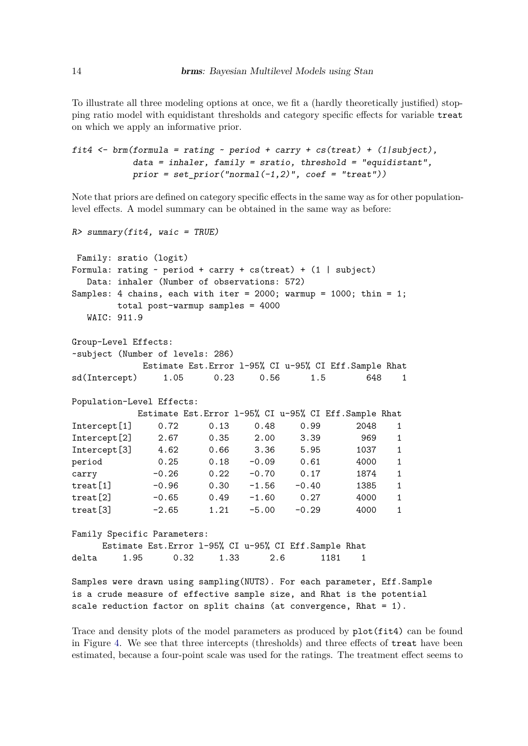To illustrate all three modeling options at once, we fit a (hardly theoretically justified) stopping ratio model with equidistant thresholds and category specific effects for variable treat on which we apply an informative prior.

```
fit4 <- brm(formula = rating ~ period + carry + cs(treat) + (1|subject),
           data = inhaler, family = sratio, threshold = "equidistant",
           prior = set_prior("normal(-1,2)", coef = "treat"))
```
Note that priors are defined on category specific effects in the same way as for other populationlevel effects. A model summary can be obtained in the same way as before:

```
R> summary(fit4, waic = TRUE)
Family: sratio (logit)
Formula: rating \sim period + carry + cs(treat) + (1 | subject)
  Data: inhaler (Number of observations: 572)
Samples: 4 chains, each with iter = 2000; warmup = 1000; thin = 1;
       total post-warmup samples = 4000
  WAIC: 911.9
Group-Level Effects:
~subject (Number of levels: 286)
           Estimate Est.Error l-95% CI u-95% CI Eff.Sample Rhat
sd(Intercept) 1.05 0.23 0.56 1.5 648 1
Population-Level Effects:
          Estimate Est.Error l-95% CI u-95% CI Eff.Sample Rhat
Intercept[1] 0.72 0.13 0.48 0.99 2048 1
Intercept[2] 2.67 0.35 2.00 3.39 969 1
Intercept[3] 4.62 0.66 3.36 5.95 1037 1
period 0.25 0.18 -0.09 0.61 4000 1
carry -0.26 0.22 -0.70 0.17 1874 1
treat[1] -0.96 0.30 -1.56 -0.40 1385 1
treat[2] -0.65 0.49 -1.60 0.27 4000 1
treat[3] -2.65 1.21 -5.00 -0.29 4000 1
Family Specific Parameters:
    Estimate Est.Error l-95% CI u-95% CI Eff.Sample Rhat
delta 1.95 0.32 1.33 2.6 1181 1
Samples were drawn using sampling(NUTS). For each parameter, Eff.Sample
is a crude measure of effective sample size, and Rhat is the potential
```
scale reduction factor on split chains (at convergence, Rhat  $= 1$ ).

Trace and density plots of the model parameters as produced by  $plot(fit4)$  can be found in Figure [4.](#page-26-0) We see that three intercepts (thresholds) and three effects of treat have been estimated, because a four-point scale was used for the ratings. The treatment effect seems to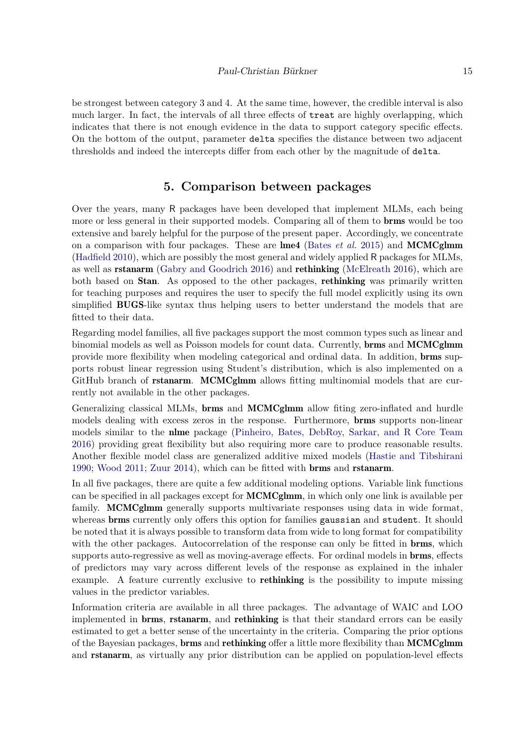#### Paul-Christian Bürkner 15

be strongest between category 3 and 4. At the same time, however, the credible interval is also much larger. In fact, the intervals of all three effects of treat are highly overlapping, which indicates that there is not enough evidence in the data to support category specific effects. On the bottom of the output, parameter delta specifies the distance between two adjacent thresholds and indeed the intercepts differ from each other by the magnitude of delta.

# **5. Comparison between packages**

Over the years, many R packages have been developed that implement MLMs, each being more or less general in their supported models. Comparing all of them to brms would be too extensive and barely helpful for the purpose of the present paper. Accordingly, we concentrate on a comparison with four packages. These are lme4 [\(Bates](#page-19-2) *et al.* [2015\)](#page-19-2) and MCMCglmm [\(Hadfield 2010\)](#page-21-1), which are possibly the most general and widely applied R packages for MLMs, as well as rstanarm [\(Gabry and Goodrich 2016\)](#page-20-15) and rethinking [\(McElreath 2016\)](#page-21-14), which are both based on **Stan**. As opposed to the other packages, **rethinking** was primarily written for teaching purposes and requires the user to specify the full model explicitly using its own simplified BUGS-like syntax thus helping users to better understand the models that are fitted to their data.

Regarding model families, all five packages support the most common types such as linear and binomial models as well as Poisson models for count data. Currently, brms and MCMCglmm provide more flexibility when modeling categorical and ordinal data. In addition, brms supports robust linear regression using Student's distribution, which is also implemented on a GitHub branch of **rstanarm.** MCMCglmm allows fitting multinomial models that are currently not available in the other packages.

Generalizing classical MLMs, brms and MCMCglmm allow fiting zero-inflated and hurdle models dealing with excess zeros in the response. Furthermore, brms supports non-linear models similar to the nlme package [\(Pinheiro, Bates, DebRoy, Sarkar, and R Core Team](#page-22-17) [2016\)](#page-22-17) providing great flexibility but also requiring more care to produce reasonable results. Another flexible model class are generalized additive mixed models [\(Hastie and Tibshirani](#page-21-15) [1990;](#page-21-15) [Wood 2011;](#page-23-6) [Zuur 2014\)](#page-23-7), which can be fitted with brms and rstanarm.

In all five packages, there are quite a few additional modeling options. Variable link functions can be specified in all packages except for MCMCglmm, in which only one link is available per family. **MCMCglmm** generally supports multivariate responses using data in wide format, whereas **brms** currently only offers this option for families gaussian and student. It should be noted that it is always possible to transform data from wide to long format for compatibility with the other packages. Autocorrelation of the response can only be fitted in **brms**, which supports auto-regressive as well as moving-average effects. For ordinal models in brms, effects of predictors may vary across different levels of the response as explained in the inhaler example. A feature currently exclusive to **rethinking** is the possibility to impute missing values in the predictor variables.

Information criteria are available in all three packages. The advantage of WAIC and LOO implemented in brms, rstanarm, and rethinking is that their standard errors can be easily estimated to get a better sense of the uncertainty in the criteria. Comparing the prior options of the Bayesian packages, **brms** and **rethinking** offer a little more flexibility than **MCMCglmm** and rstanarm, as virtually any prior distribution can be applied on population-level effects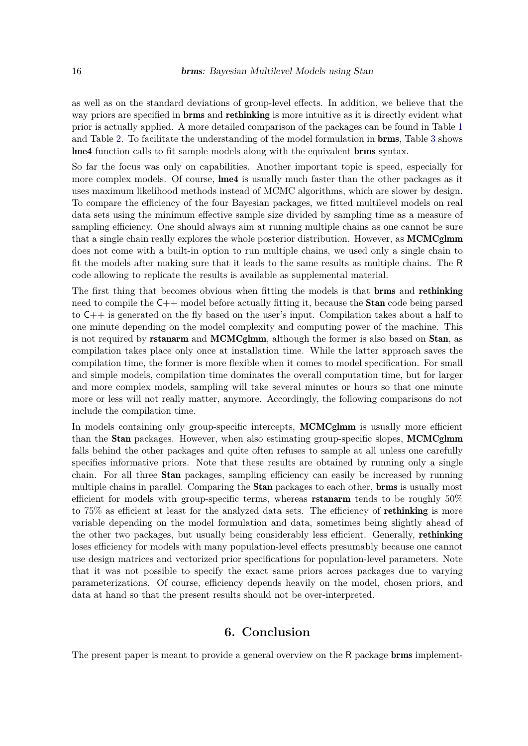as well as on the standard deviations of group-level effects. In addition, we believe that the way priors are specified in **brms** and **rethinking** is more intuitive as it is directly evident what prior is actually applied. A more detailed comparison of the packages can be found in Table [1](#page-16-0) and Table [2.](#page-17-0) To facilitate the understanding of the model formulation in brms, Table [3](#page-18-0) shows lme4 function calls to fit sample models along with the equivalent brms syntax.

So far the focus was only on capabilities. Another important topic is speed, especially for more complex models. Of course, **lme4** is usually much faster than the other packages as it uses maximum likelihood methods instead of MCMC algorithms, which are slower by design. To compare the efficiency of the four Bayesian packages, we fitted multilevel models on real data sets using the minimum effective sample size divided by sampling time as a measure of sampling efficiency. One should always aim at running multiple chains as one cannot be sure that a single chain really explores the whole posterior distribution. However, as MCMCglmm does not come with a built-in option to run multiple chains, we used only a single chain to fit the models after making sure that it leads to the same results as multiple chains. The R code allowing to replicate the results is available as supplemental material.

The first thing that becomes obvious when fitting the models is that **brms** and **rethinking** need to compile the C++ model before actually fitting it, because the Stan code being parsed to C++ is generated on the fly based on the user's input. Compilation takes about a half to one minute depending on the model complexity and computing power of the machine. This is not required by **rstanarm** and **MCMCglmm**, although the former is also based on **Stan**, as compilation takes place only once at installation time. While the latter approach saves the compilation time, the former is more flexible when it comes to model specification. For small and simple models, compilation time dominates the overall computation time, but for larger and more complex models, sampling will take several minutes or hours so that one minute more or less will not really matter, anymore. Accordingly, the following comparisons do not include the compilation time.

In models containing only group-specific intercepts, **MCMCglmm** is usually more efficient than the Stan packages. However, when also estimating group-specific slopes, MCMCglmm falls behind the other packages and quite often refuses to sample at all unless one carefully specifies informative priors. Note that these results are obtained by running only a single chain. For all three Stan packages, sampling efficiency can easily be increased by running multiple chains in parallel. Comparing the **Stan** packages to each other, **brms** is usually most efficient for models with group-specific terms, whereas rstanarm tends to be roughly 50% to 75% as efficient at least for the analyzed data sets. The efficiency of **rethinking** is more variable depending on the model formulation and data, sometimes being slightly ahead of the other two packages, but usually being considerably less efficient. Generally, rethinking loses efficiency for models with many population-level effects presumably because one cannot use design matrices and vectorized prior specifications for population-level parameters. Note that it was not possible to specify the exact same priors across packages due to varying parameterizations. Of course, efficiency depends heavily on the model, chosen priors, and data at hand so that the present results should not be over-interpreted.

# **6. Conclusion**

The present paper is meant to provide a general overview on the R package **brms** implement-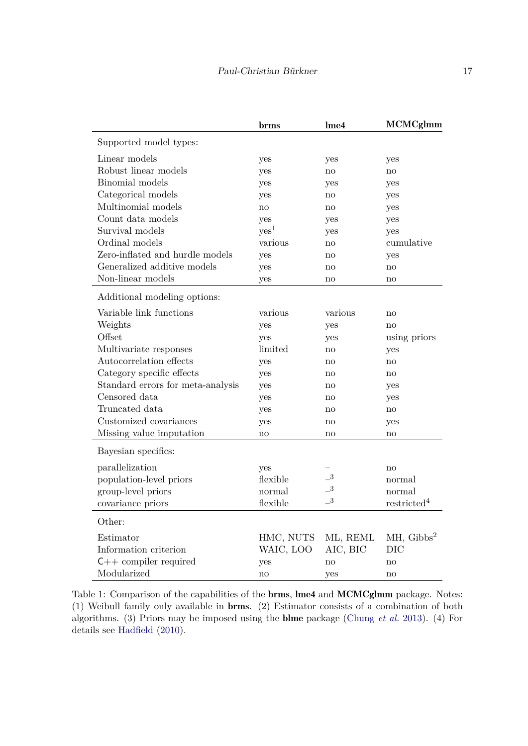|                                   | brms          | lme <sub>4</sub>           | <b>MCMCglmm</b>         |
|-----------------------------------|---------------|----------------------------|-------------------------|
| Supported model types:            |               |                            |                         |
| Linear models                     | yes           | yes                        | yes                     |
| Robust linear models              | yes           | no                         | no                      |
| Binomial models                   | yes           | yes                        | yes                     |
| Categorical models                | yes           | no                         | yes                     |
| Multinomial models                | no            | no                         | yes                     |
| Count data models                 | yes           | yes                        | yes                     |
| Survival models                   | ${\rm yes}^1$ | yes                        | yes                     |
| Ordinal models                    | various       | no                         | cumulative              |
| Zero-inflated and hurdle models   | yes           | no                         | yes                     |
| Generalized additive models       | yes           | no                         | no                      |
| Non-linear models                 | yes           | no                         | $\mathbf{n}$            |
| Additional modeling options:      |               |                            |                         |
| Variable link functions           | various       | various                    | $\mathbf{n}$            |
| Weights                           | yes           | yes                        | $\mathbf{n}$            |
| Offset                            | yes           | yes                        | using priors            |
| Multivariate responses            | limited       | no                         | yes                     |
| Autocorrelation effects           | yes           | no                         | no                      |
| Category specific effects         | yes           | no                         | no                      |
| Standard errors for meta-analysis | yes           | $\mathop{\mathrm{no}}$     | yes                     |
| Censored data                     | yes           | no                         | yes                     |
| Truncated data                    | yes           | no                         | no                      |
| Customized covariances            | yes           | no                         | yes                     |
| Missing value imputation          | no            | no                         | $\mathbf{n}$            |
| Bayesian specifics:               |               |                            |                         |
| parallelization                   | yes           |                            | $\mathbf{n}\mathbf{o}$  |
| population-level priors           | flexible      | $\overline{\phantom{0}}^3$ | normal                  |
| group-level priors                | normal        | $\overline{\phantom{0}}^3$ | normal                  |
| covariance priors                 | flexible      | $\overline{\phantom{0}}^3$ | restricted <sup>4</sup> |
| Other:                            |               |                            |                         |
| Estimator                         | HMC, NUTS     | ML, REML                   | $MH, Gibbs^2$           |
| Information criterion             | WAIC, LOO     | AIC, BIC                   | DIC                     |
| $C++$ compiler required           | yes           | no                         | $\mathbf{n}$            |
| Modularized                       | no            | yes                        | no                      |

<span id="page-16-0"></span>Table 1: Comparison of the capabilities of the brms, lme4 and MCMCglmm package. Notes: (1) Weibull family only available in brms. (2) Estimator consists of a combination of both algorithms. (3) Priors may be imposed using the blme package [\(Chung](#page-20-16) *et al.* [2013\)](#page-20-16). (4) For details see [Hadfield](#page-21-1) [\(2010\)](#page-21-1).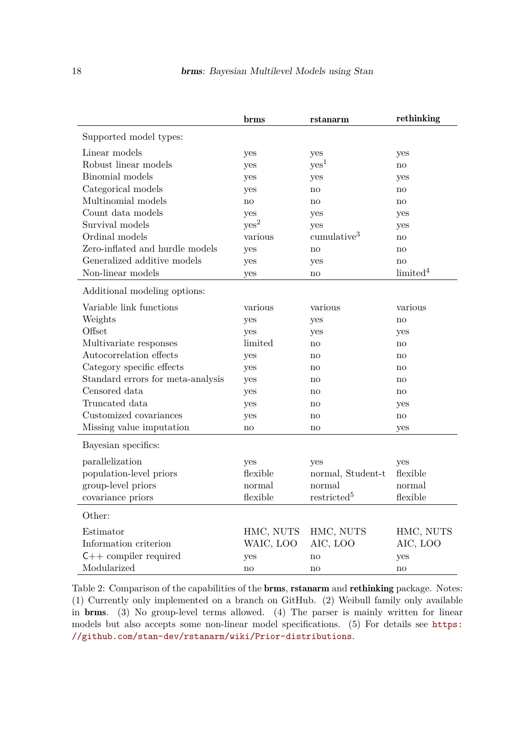|                                   | brms             | rstanarm                | rethinking             |
|-----------------------------------|------------------|-------------------------|------------------------|
| Supported model types:            |                  |                         |                        |
| Linear models                     | yes              | yes                     | yes                    |
| Robust linear models              | yes              | $\mathrm{ves}^1$        | $\mathbf{n}$           |
| Binomial models                   | yes              | yes                     | yes                    |
| Categorical models                | yes              | no                      | no                     |
| Multinomial models                | no               | no                      | no                     |
| Count data models                 | yes              | yes                     | yes                    |
| Survival models                   | yes <sup>2</sup> | yes                     | yes                    |
| Ordinal models                    | various          | cumulative <sup>3</sup> | no                     |
| Zero-inflated and hurdle models   | yes              | no                      | no                     |
| Generalized additive models       | yes              | yes                     | no                     |
| Non-linear models                 | yes              | no                      | limited <sup>4</sup>   |
| Additional modeling options:      |                  |                         |                        |
| Variable link functions           | various          | various                 | various                |
| Weights                           | yes              | yes                     | no                     |
| Offset                            | yes              | yes                     | yes                    |
| Multivariate responses            | limited          | no                      | no                     |
| Autocorrelation effects           | yes              | no                      | $\mathbf{n}\mathbf{o}$ |
| Category specific effects         | yes              | no                      | no                     |
| Standard errors for meta-analysis | yes              | $\mathop{\mathrm{no}}$  | no                     |
| Censored data                     | yes              | no                      | no                     |
| Truncated data                    | yes              | no                      | yes                    |
| Customized covariances            | yes              | no                      | no                     |
| Missing value imputation          | no               | no                      | yes                    |
| Bayesian specifics:               |                  |                         |                        |
| parallelization                   | yes              | yes                     | yes                    |
| population-level priors           | flexible         | normal, Student-t       | flexible               |
| group-level priors                | normal           | normal                  | normal                 |
| covariance priors                 | flexible         | restricted <sup>5</sup> | flexible               |
| Other:                            |                  |                         |                        |
| Estimator                         | HMC, NUTS        | HMC, NUTS               | HMC, NUTS              |
| Information criterion             | WAIC, LOO        | AIC, LOO                | AIC, LOO               |
| $C++$ compiler required           | yes              | no                      | yes                    |
| Modularized                       | no               | no                      | no                     |

<span id="page-17-0"></span>Table 2: Comparison of the capabilities of the **brms**, **rstanarm** and **rethinking** package. Notes: (1) Currently only implemented on a branch on GitHub. (2) Weibull family only available in brms. (3) No group-level terms allowed. (4) The parser is mainly written for linear models but also accepts some non-linear model specifications. (5) For details see [https:](https://github.com/stan-dev/rstanarm/wiki/Prior-distributions) [//github.com/stan-dev/rstanarm/wiki/Prior-distributions](https://github.com/stan-dev/rstanarm/wiki/Prior-distributions).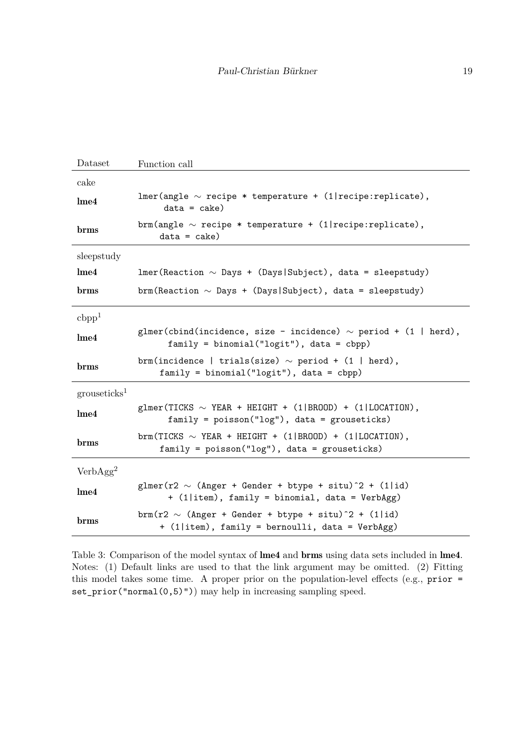| Dataset                  | Function call                                                                                                                                      |
|--------------------------|----------------------------------------------------------------------------------------------------------------------------------------------------|
| cake                     |                                                                                                                                                    |
| Ime4                     | $lmer(angle ~ recipe * temperature + (1 recipe:replicate),$<br>$data = cake)$                                                                      |
| brms                     | brm(angle $\sim$ recipe * temperature + (1  recipe: replicate),<br>$data = cake)$                                                                  |
| sleepstudy               |                                                                                                                                                    |
| Ime4                     | $lmer(Rearation ~ Days + (Days Subject), data = sleepstudy)$                                                                                       |
| brms                     | brm(Reaction $\sim$ Days + (Days   Subject), data = sleepstudy)                                                                                    |
| cbpp <sup>1</sup>        |                                                                                                                                                    |
| $l$ me $4$               | glmer(cbind(incidence, size - incidence) $\sim$ period + (1   herd),<br>$family = binomial("logit"), data = cbpp)$                                 |
| brms                     | brm(incidence   trials(size) $\sim$ period + (1   herd),<br>$family = binomial("logit"), data = cbpp)$                                             |
| grouseticks <sup>1</sup> |                                                                                                                                                    |
| Ime4                     | glmer(TICKS $\sim$ YEAR + HEIGHT + (1 BROOD) + (1 LOCATION),<br>$family = poisson("log")$ , data = grouseticks)                                    |
| brms                     | $\text{brm(TICKS} \sim \text{YEAR} + \text{HEIGHT} + (1  \text{BROOD}) + (1  \text{LOCATION}),$<br>$family = poisson("log")$ , data = grouseticks) |
| VerbAgg <sup>2</sup>     |                                                                                                                                                    |
| Ime4                     | glmer(r2 $\sim$ (Anger + Gender + btype + situ) <sup>2</sup> + (1 id)<br>+ (1 item), family = binomial, data = VerbAgg)                            |
| brms                     | brm(r2 $\sim$ (Anger + Gender + btype + situ) <sup>2</sup> + (1 id)<br>+ (1 item), family = bernoulli, data = VerbAgg)                             |

<span id="page-18-0"></span>Table 3: Comparison of the model syntax of lme4 and brms using data sets included in lme4. Notes: (1) Default links are used to that the link argument may be omitted. (2) Fitting this model takes some time. A proper prior on the population-level effects (e.g., prior = set\_prior("normal(0,5)")) may help in increasing sampling speed.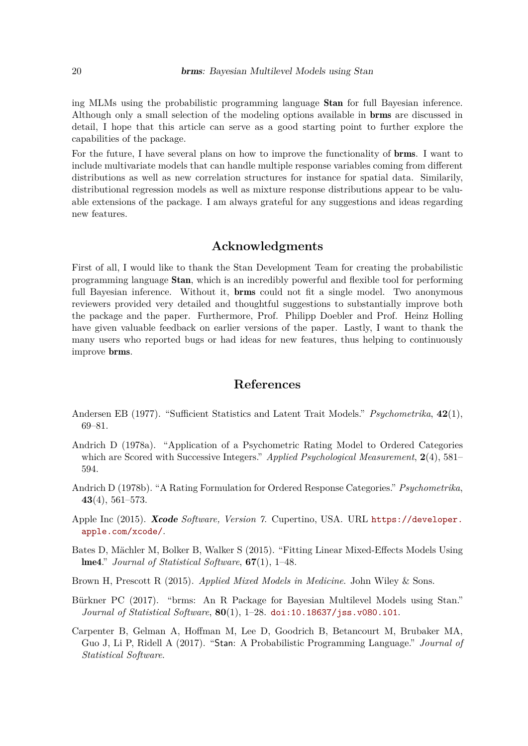ing MLMs using the probabilistic programming language Stan for full Bayesian inference. Although only a small selection of the modeling options available in brms are discussed in detail, I hope that this article can serve as a good starting point to further explore the capabilities of the package.

For the future, I have several plans on how to improve the functionality of brms. I want to include multivariate models that can handle multiple response variables coming from different distributions as well as new correlation structures for instance for spatial data. Similarily, distributional regression models as well as mixture response distributions appear to be valuable extensions of the package. I am always grateful for any suggestions and ideas regarding new features.

# **Acknowledgments**

First of all, I would like to thank the Stan Development Team for creating the probabilistic programming language Stan, which is an incredibly powerful and flexible tool for performing full Bayesian inference. Without it, **brms** could not fit a single model. Two anonymous reviewers provided very detailed and thoughtful suggestions to substantially improve both the package and the paper. Furthermore, Prof. Philipp Doebler and Prof. Heinz Holling have given valuable feedback on earlier versions of the paper. Lastly, I want to thank the many users who reported bugs or had ideas for new features, thus helping to continuously improve brms.

# **References**

- <span id="page-19-7"></span>Andersen EB (1977). "Sufficient Statistics and Latent Trait Models." *Psychometrika*, **42**(1), 69–81.
- <span id="page-19-6"></span>Andrich D (1978a). "Application of a Psychometric Rating Model to Ordered Categories which are Scored with Successive Integers." *Applied Psychological Measurement*, **2**(4), 581– 594.
- <span id="page-19-5"></span>Andrich D (1978b). "A Rating Formulation for Ordered Response Categories." *Psychometrika*, **43**(4), 561–573.
- <span id="page-19-4"></span>Apple Inc (2015). Xcode *Software, Version 7*. Cupertino, USA. URL [https://developer.](https://developer.apple.com/xcode/) [apple.com/xcode/](https://developer.apple.com/xcode/).
- <span id="page-19-2"></span>Bates D, Mächler M, Bolker B, Walker S (2015). "Fitting Linear Mixed-Effects Models Using lme4." *Journal of Statistical Software*, **67**(1), 1–48.
- <span id="page-19-1"></span>Brown H, Prescott R (2015). *Applied Mixed Models in Medicine*. John Wiley & Sons.
- <span id="page-19-0"></span>Bürkner PC (2017). "brms: An R Package for Bayesian Multilevel Models using Stan." *Journal of Statistical Software*, **80**(1), 1–28. [doi:10.18637/jss.v080.i01](https://doi.org/10.18637/jss.v080.i01).
- <span id="page-19-3"></span>Carpenter B, Gelman A, Hoffman M, Lee D, Goodrich B, Betancourt M, Brubaker MA, Guo J, Li P, Ridell A (2017). "Stan: A Probabilistic Programming Language." *Journal of Statistical Software*.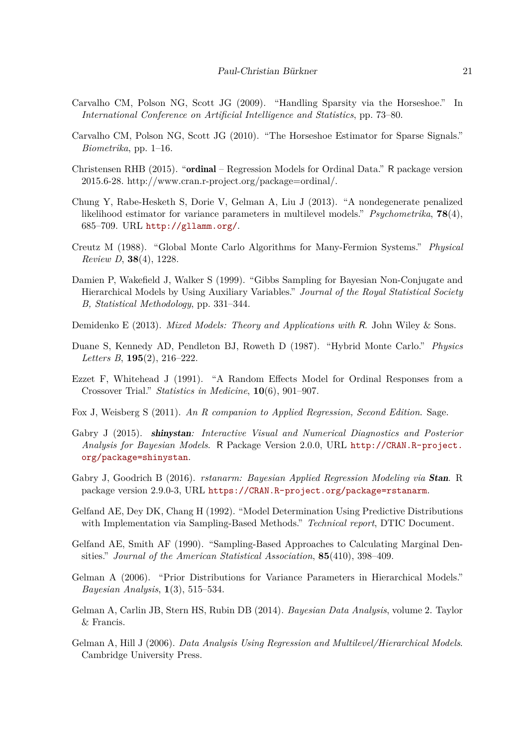- <span id="page-20-10"></span>Carvalho CM, Polson NG, Scott JG (2009). "Handling Sparsity via the Horseshoe." In *International Conference on Artificial Intelligence and Statistics*, pp. 73–80.
- <span id="page-20-11"></span>Carvalho CM, Polson NG, Scott JG (2010). "The Horseshoe Estimator for Sparse Signals." *Biometrika*, pp. 1–16.
- <span id="page-20-14"></span>Christensen RHB (2015). "ordinal – Regression Models for Ordinal Data." R package version 2015.6-28. http://www.cran.r-project.org/package=ordinal/.
- <span id="page-20-16"></span>Chung Y, Rabe-Hesketh S, Dorie V, Gelman A, Liu J (2013). "A nondegenerate penalized likelihood estimator for variance parameters in multilevel models." *Psychometrika*, **78**(4), 685–709. URL <http://gllamm.org/>.
- <span id="page-20-8"></span>Creutz M (1988). "Global Monte Carlo Algorithms for Many-Fermion Systems." *Physical Review D*, **38**(4), 1228.
- <span id="page-20-3"></span>Damien P, Wakefield J, Walker S (1999). "Gibbs Sampling for Bayesian Non-Conjugate and Hierarchical Models by Using Auxiliary Variables." *Journal of the Royal Statistical Society B, Statistical Methodology*, pp. 331–344.
- <span id="page-20-0"></span>Demidenko E (2013). *Mixed Models: Theory and Applications with* R. John Wiley & Sons.
- <span id="page-20-5"></span>Duane S, Kennedy AD, Pendleton BJ, Roweth D (1987). "Hybrid Monte Carlo." *Physics Letters B*, **195**(2), 216–222.
- <span id="page-20-6"></span>Ezzet F, Whitehead J (1991). "A Random Effects Model for Ordinal Responses from a Crossover Trial." *Statistics in Medicine*, **10**(6), 901–907.
- <span id="page-20-7"></span>Fox J, Weisberg S (2011). *An R companion to Applied Regression, Second Edition*. Sage.
- <span id="page-20-13"></span>Gabry J (2015). shinystan*: Interactive Visual and Numerical Diagnostics and Posterior Analysis for Bayesian Models*. R Package Version 2.0.0, URL [http://CRAN.R-project.](http://CRAN.R-project.org/package=shinystan) [org/package=shinystan](http://CRAN.R-project.org/package=shinystan).
- <span id="page-20-15"></span>Gabry J, Goodrich B (2016). *rstanarm: Bayesian Applied Regression Modeling via* Stan. R package version 2.9.0-3, URL <https://CRAN.R-project.org/package=rstanarm>.
- <span id="page-20-9"></span>Gelfand AE, Dey DK, Chang H (1992). "Model Determination Using Predictive Distributions with Implementation via Sampling-Based Methods." *Technical report*, DTIC Document.
- <span id="page-20-2"></span>Gelfand AE, Smith AF (1990). "Sampling-Based Approaches to Calculating Marginal Densities." *Journal of the American Statistical Association*, **85**(410), 398–409.
- <span id="page-20-12"></span>Gelman A (2006). "Prior Distributions for Variance Parameters in Hierarchical Models." *Bayesian Analysis*, **1**(3), 515–534.
- <span id="page-20-4"></span>Gelman A, Carlin JB, Stern HS, Rubin DB (2014). *Bayesian Data Analysis*, volume 2. Taylor & Francis.
- <span id="page-20-1"></span>Gelman A, Hill J (2006). *Data Analysis Using Regression and Multilevel/Hierarchical Models*. Cambridge University Press.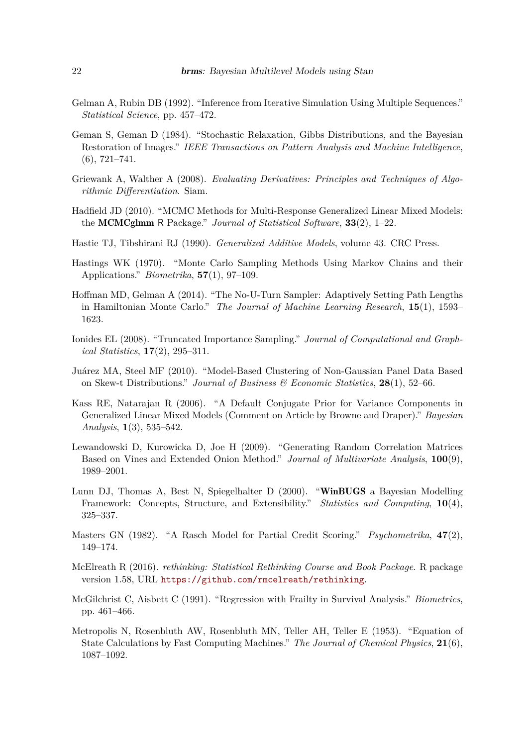- <span id="page-21-12"></span>Gelman A, Rubin DB (1992). "Inference from Iterative Simulation Using Multiple Sequences." *Statistical Science*, pp. 457–472.
- <span id="page-21-4"></span>Geman S, Geman D (1984). "Stochastic Relaxation, Gibbs Distributions, and the Bayesian Restoration of Images." *IEEE Transactions on Pattern Analysis and Machine Intelligence*, (6), 721–741.
- <span id="page-21-10"></span>Griewank A, Walther A (2008). *Evaluating Derivatives: Principles and Techniques of Algorithmic Differentiation*. Siam.
- <span id="page-21-1"></span>Hadfield JD (2010). "MCMC Methods for Multi-Response Generalized Linear Mixed Models: the MCMCglmm R Package." *Journal of Statistical Software*, **33**(2), 1–22.
- <span id="page-21-15"></span>Hastie TJ, Tibshirani RJ (1990). *Generalized Additive Models*, volume 43. CRC Press.
- <span id="page-21-3"></span>Hastings WK (1970). "Monte Carlo Sampling Methods Using Markov Chains and their Applications." *Biometrika*, **57**(1), 97–109.
- <span id="page-21-5"></span>Hoffman MD, Gelman A (2014). "The No-U-Turn Sampler: Adaptively Setting Path Lengths in Hamiltonian Monte Carlo." *The Journal of Machine Learning Research*, **15**(1), 1593– 1623.
- <span id="page-21-11"></span>Ionides EL (2008). "Truncated Importance Sampling." *Journal of Computational and Graphical Statistics*, **17**(2), 295–311.
- <span id="page-21-9"></span>Juárez MA, Steel MF (2010). "Model-Based Clustering of Non-Gaussian Panel Data Based on Skew-t Distributions." *Journal of Business & Economic Statistics*, **28**(1), 52–66.
- <span id="page-21-7"></span>Kass RE, Natarajan R (2006). "A Default Conjugate Prior for Variance Components in Generalized Linear Mixed Models (Comment on Article by Browne and Draper)." *Bayesian Analysis*, **1**(3), 535–542.
- <span id="page-21-8"></span>Lewandowski D, Kurowicka D, Joe H (2009). "Generating Random Correlation Matrices Based on Vines and Extended Onion Method." *Journal of Multivariate Analysis*, **100**(9), 1989–2001.
- <span id="page-21-0"></span>Lunn DJ, Thomas A, Best N, Spiegelhalter D (2000). "WinBUGS a Bayesian Modelling Framework: Concepts, Structure, and Extensibility." *Statistics and Computing*, **10**(4), 325–337.
- <span id="page-21-13"></span>Masters GN (1982). "A Rasch Model for Partial Credit Scoring." *Psychometrika*, **47**(2), 149–174.
- <span id="page-21-14"></span>McElreath R (2016). *rethinking: Statistical Rethinking Course and Book Package*. R package version 1.58, URL <https://github.com/rmcelreath/rethinking>.
- <span id="page-21-6"></span>McGilchrist C, Aisbett C (1991). "Regression with Frailty in Survival Analysis." *Biometrics*, pp. 461–466.
- <span id="page-21-2"></span>Metropolis N, Rosenbluth AW, Rosenbluth MN, Teller AH, Teller E (1953). "Equation of State Calculations by Fast Computing Machines." *The Journal of Chemical Physics*, **21**(6), 1087–1092.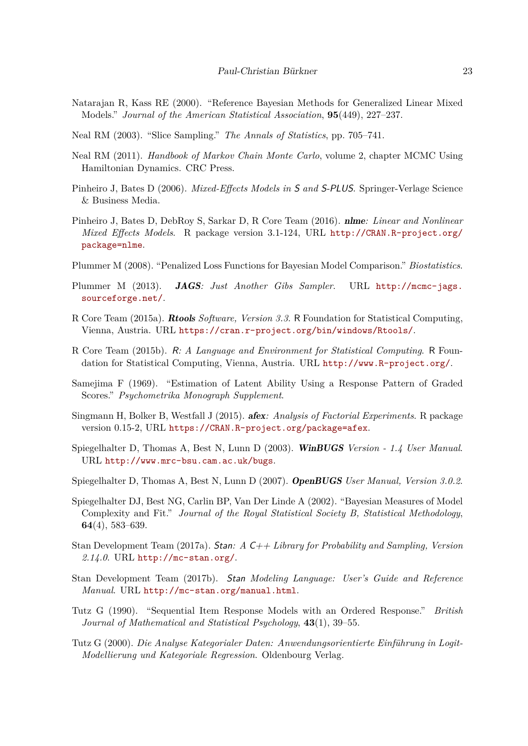- <span id="page-22-9"></span>Natarajan R, Kass RE (2000). "Reference Bayesian Methods for Generalized Linear Mixed Models." *Journal of the American Statistical Association*, **95**(449), 227–237.
- <span id="page-22-6"></span>Neal RM (2003). "Slice Sampling." *The Annals of Statistics*, pp. 705–741.
- <span id="page-22-7"></span>Neal RM (2011). *Handbook of Markov Chain Monte Carlo*, volume 2, chapter MCMC Using Hamiltonian Dynamics. CRC Press.
- <span id="page-22-0"></span>Pinheiro J, Bates D (2006). *Mixed-Effects Models in* S *and* S-PLUS. Springer-Verlage Science & Business Media.
- <span id="page-22-17"></span>Pinheiro J, Bates D, DebRoy S, Sarkar D, R Core Team (2016). nlme*: Linear and Nonlinear Mixed Effects Models*. R package version 3.1-124, URL [http://CRAN.R-project.org/](http://CRAN.R-project.org/package=nlme) [package=nlme](http://CRAN.R-project.org/package=nlme).
- <span id="page-22-10"></span>Plummer M (2008). "Penalized Loss Functions for Bayesian Model Comparison." *Biostatistics*.
- <span id="page-22-4"></span>Plummer M (2013). JAGS*: Just Another Gibs Sampler*. URL [http://mcmc-jags.](http://mcmc-jags.sourceforge.net/) [sourceforge.net/](http://mcmc-jags.sourceforge.net/).
- <span id="page-22-12"></span>R Core Team (2015a). Rtools *Software, Version 3.3*. R Foundation for Statistical Computing, Vienna, Austria. URL <https://cran.r-project.org/bin/windows/Rtools/>.
- <span id="page-22-1"></span>R Core Team (2015b). R*: A Language and Environment for Statistical Computing*. R Foundation for Statistical Computing, Vienna, Austria. URL <http://www.R-project.org/>.
- <span id="page-22-14"></span>Samejima F (1969). "Estimation of Latent Ability Using a Response Pattern of Graded Scores." *Psychometrika Monograph Supplement*.
- <span id="page-22-13"></span>Singmann H, Bolker B, Westfall J (2015). afex*: Analysis of Factorial Experiments*. R package version 0.15-2, URL <https://CRAN.R-project.org/package=afex>.
- <span id="page-22-2"></span>Spiegelhalter D, Thomas A, Best N, Lunn D (2003). WinBUGS *Version - 1.4 User Manual*. URL <http://www.mrc-bsu.cam.ac.uk/bugs>.
- <span id="page-22-3"></span>Spiegelhalter D, Thomas A, Best N, Lunn D (2007). OpenBUGS *User Manual, Version 3.0.2*.
- <span id="page-22-11"></span>Spiegelhalter DJ, Best NG, Carlin BP, Van Der Linde A (2002). "Bayesian Measures of Model Complexity and Fit." *Journal of the Royal Statistical Society B, Statistical Methodology*, **64**(4), 583–639.
- <span id="page-22-5"></span>Stan Development Team (2017a). Stan*: A* C++ *Library for Probability and Sampling, Version 2.14.0*. URL <http://mc-stan.org/>.
- <span id="page-22-8"></span>Stan Development Team (2017b). Stan *Modeling Language: User's Guide and Reference Manual*. URL <http://mc-stan.org/manual.html>.
- <span id="page-22-15"></span>Tutz G (1990). "Sequential Item Response Models with an Ordered Response." *British Journal of Mathematical and Statistical Psychology*, **43**(1), 39–55.
- <span id="page-22-16"></span>Tutz G (2000). *Die Analyse Kategorialer Daten: Anwendungsorientierte Einführung in Logit-Modellierung und Kategoriale Regression*. Oldenbourg Verlag.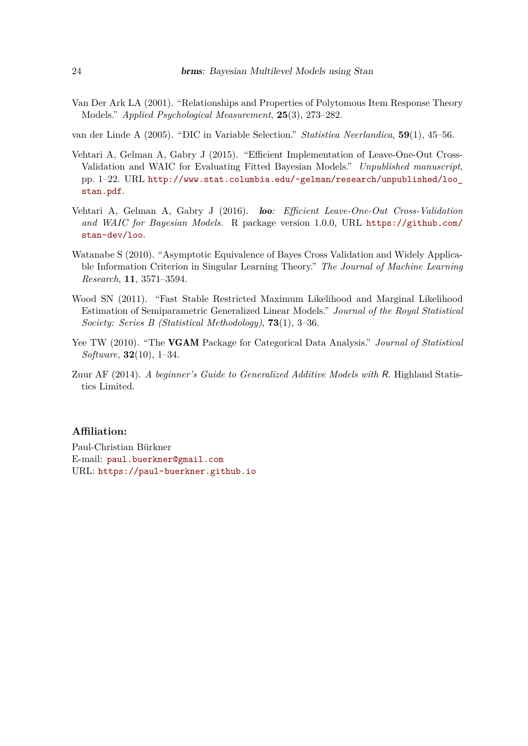- <span id="page-23-4"></span>Van Der Ark LA (2001). "Relationships and Properties of Polytomous Item Response Theory Models." *Applied Psychological Measurement*, **25**(3), 273–282.
- <span id="page-23-2"></span>van der Linde A (2005). "DIC in Variable Selection." *Statistica Neerlandica*, **59**(1), 45–56.
- <span id="page-23-1"></span>Vehtari A, Gelman A, Gabry J (2015). "Efficient Implementation of Leave-One-Out Cross-Validation and WAIC for Evaluating Fitted Bayesian Models." *Unpublished manuscript*, pp. 1–22. URL [http://www.stat.columbia.edu/~gelman/research/unpublished/loo\\_](http://www.stat.columbia.edu/~gelman/research/unpublished/loo_stan.pdf) [stan.pdf](http://www.stat.columbia.edu/~gelman/research/unpublished/loo_stan.pdf).
- <span id="page-23-3"></span>Vehtari A, Gelman A, Gabry J (2016). loo*: Efficient Leave-One-Out Cross-Validation* and WAIC for Bayesian Models. R package version 1.0.0, URL [https://github.com/](https://github.com/stan-dev/loo) [stan-dev/loo](https://github.com/stan-dev/loo).
- <span id="page-23-0"></span>Watanabe S (2010). "Asymptotic Equivalence of Bayes Cross Validation and Widely Applicable Information Criterion in Singular Learning Theory." *The Journal of Machine Learning Research*, **11**, 3571–3594.
- <span id="page-23-6"></span>Wood SN (2011). "Fast Stable Restricted Maximum Likelihood and Marginal Likelihood Estimation of Semiparametric Generalized Linear Models." *Journal of the Royal Statistical Society: Series B (Statistical Methodology)*, **73**(1), 3–36.
- <span id="page-23-5"></span>Yee TW (2010). "The VGAM Package for Categorical Data Analysis." *Journal of Statistical Software*, **32**(10), 1–34.
- <span id="page-23-7"></span>Zuur AF (2014). *A beginner's Guide to Generalized Additive Models with* R. Highland Statistics Limited.

## **Affiliation:**

Paul-Christian Bürkner E-mail: [paul.buerkner@gmail.com](mailto:paul.buerkner@gmail.com) URL: <https://paul-buerkner.github.io>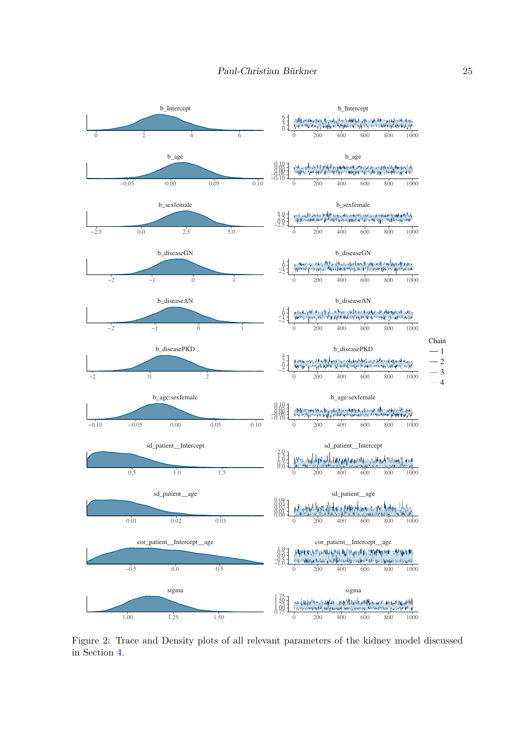

<span id="page-24-0"></span>Figure 2: Trace and Density plots of all relevant parameters of the kidney model discussed in Section [4.](#page-4-1)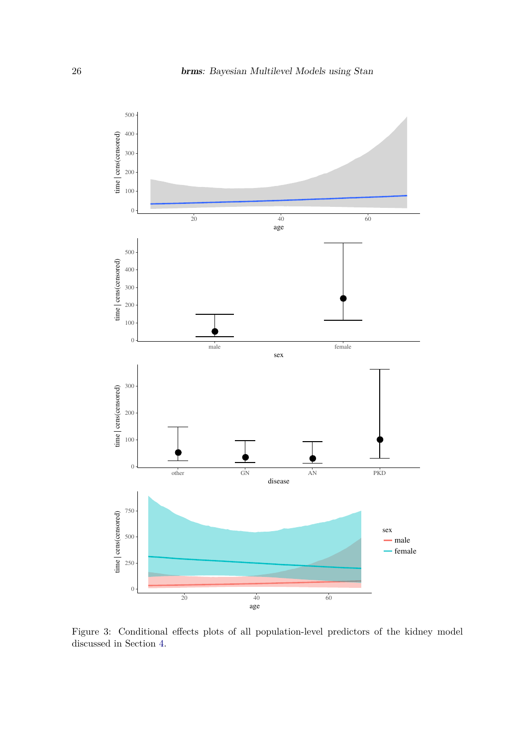

<span id="page-25-0"></span>Figure 3: Conditional effects plots of all population-level predictors of the kidney model discussed in Section [4.](#page-4-1)